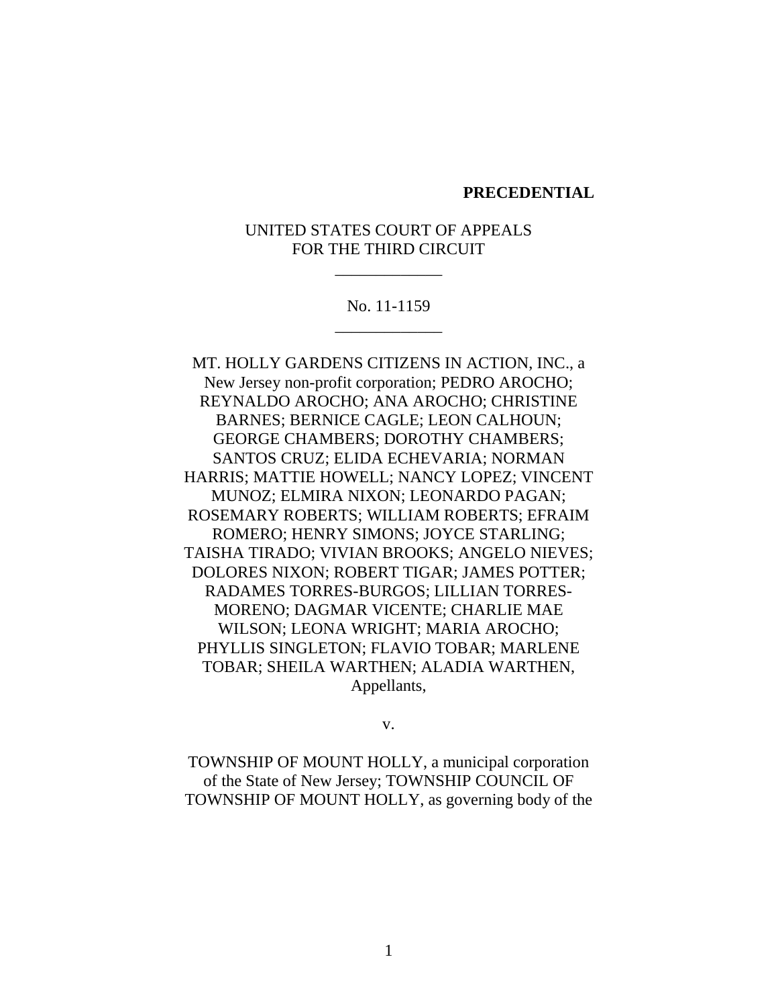#### **PRECEDENTIAL**

# UNITED STATES COURT OF APPEALS FOR THE THIRD CIRCUIT

\_\_\_\_\_\_\_\_\_\_\_\_\_

# No. 11-1159 \_\_\_\_\_\_\_\_\_\_\_\_\_

MT. HOLLY GARDENS CITIZENS IN ACTION, INC., a New Jersey non-profit corporation; PEDRO AROCHO; REYNALDO AROCHO; ANA AROCHO; CHRISTINE BARNES; BERNICE CAGLE; LEON CALHOUN; GEORGE CHAMBERS; DOROTHY CHAMBERS; SANTOS CRUZ; ELIDA ECHEVARIA; NORMAN HARRIS; MATTIE HOWELL; NANCY LOPEZ; VINCENT MUNOZ; ELMIRA NIXON; LEONARDO PAGAN; ROSEMARY ROBERTS; WILLIAM ROBERTS; EFRAIM ROMERO; HENRY SIMONS; JOYCE STARLING; TAISHA TIRADO; VIVIAN BROOKS; ANGELO NIEVES; DOLORES NIXON; ROBERT TIGAR; JAMES POTTER; RADAMES TORRES-BURGOS; LILLIAN TORRES-MORENO; DAGMAR VICENTE; CHARLIE MAE WILSON; LEONA WRIGHT; MARIA AROCHO; PHYLLIS SINGLETON; FLAVIO TOBAR; MARLENE TOBAR; SHEILA WARTHEN; ALADIA WARTHEN, Appellants,

#### v.

TOWNSHIP OF MOUNT HOLLY, a municipal corporation of the State of New Jersey; TOWNSHIP COUNCIL OF TOWNSHIP OF MOUNT HOLLY, as governing body of the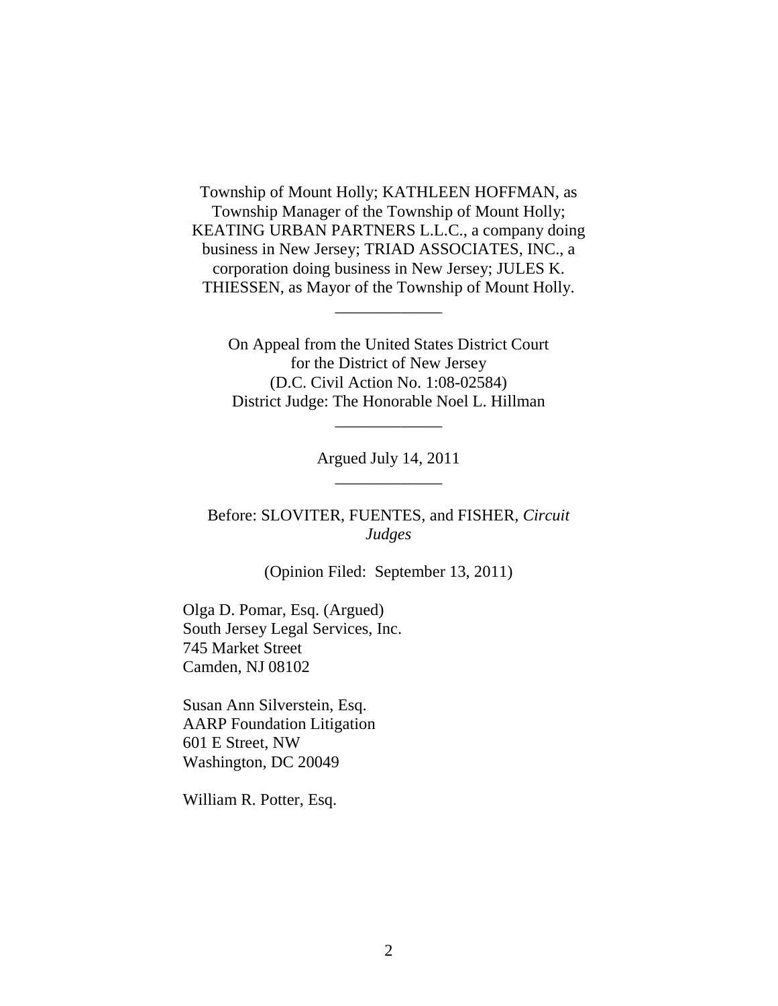Township of Mount Holly; KATHLEEN HOFFMAN, as Township Manager of the Township of Mount Holly; KEATING URBAN PARTNERS L.L.C., a company doing business in New Jersey; TRIAD ASSOCIATES, INC., a corporation doing business in New Jersey; JULES K. THIESSEN, as Mayor of the Township of Mount Holly.

\_\_\_\_\_\_\_\_\_\_\_\_\_

On Appeal from the United States District Court for the District of New Jersey (D.C. Civil Action No. 1:08-02584) District Judge: The Honorable Noel L. Hillman

> Argued July 14, 2011 \_\_\_\_\_\_\_\_\_\_\_\_\_

\_\_\_\_\_\_\_\_\_\_\_\_\_

Before: SLOVITER, FUENTES, and FISHER, *Circuit Judges*

(Opinion Filed: September 13, 2011)

Olga D. Pomar, Esq. (Argued) South Jersey Legal Services, Inc. 745 Market Street Camden, NJ 08102

Susan Ann Silverstein, Esq. AARP Foundation Litigation 601 E Street, NW Washington, DC 20049

William R. Potter, Esq.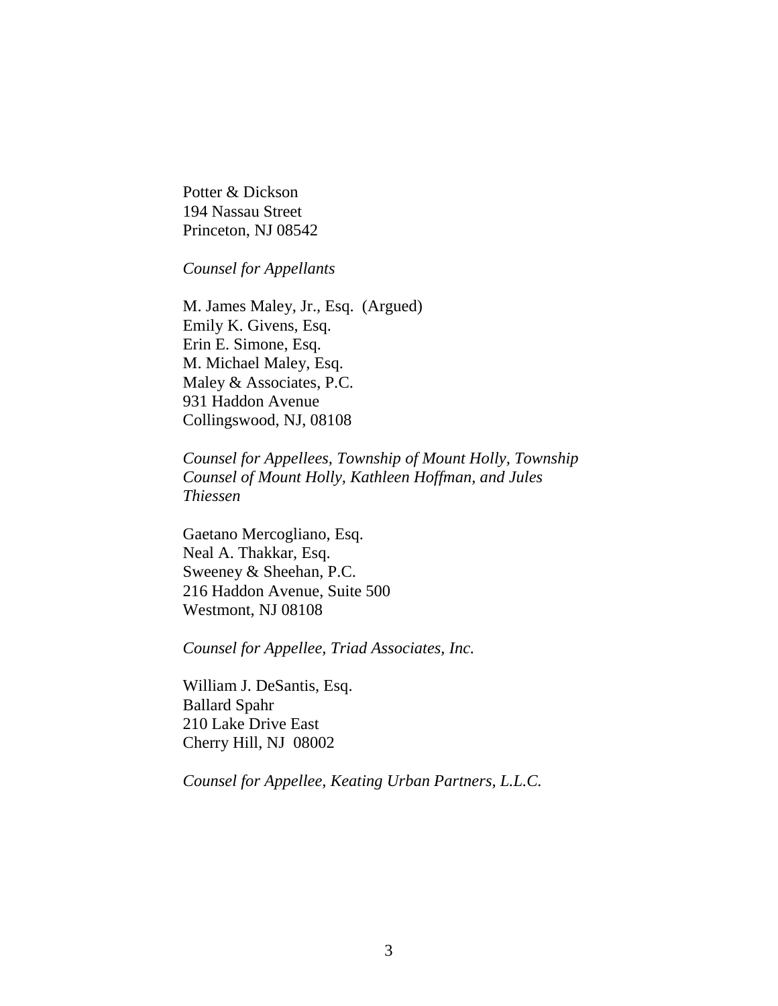Potter & Dickson 194 Nassau Street Princeton, NJ 08542

*Counsel for Appellants*

M. James Maley, Jr., Esq. (Argued) Emily K. Givens, Esq. Erin E. Simone, Esq. M. Michael Maley, Esq. Maley & Associates, P.C. 931 Haddon Avenue Collingswood, NJ, 08108

*Counsel for Appellees, Township of Mount Holly, Township Counsel of Mount Holly, Kathleen Hoffman, and Jules Thiessen*

Gaetano Mercogliano, Esq. Neal A. Thakkar, Esq. Sweeney & Sheehan, P.C. 216 Haddon Avenue, Suite 500 Westmont, NJ 08108

*Counsel for Appellee, Triad Associates, Inc.*

William J. DeSantis, Esq. Ballard Spahr 210 Lake Drive East Cherry Hill, NJ 08002

*Counsel for Appellee, Keating Urban Partners, L.L.C.*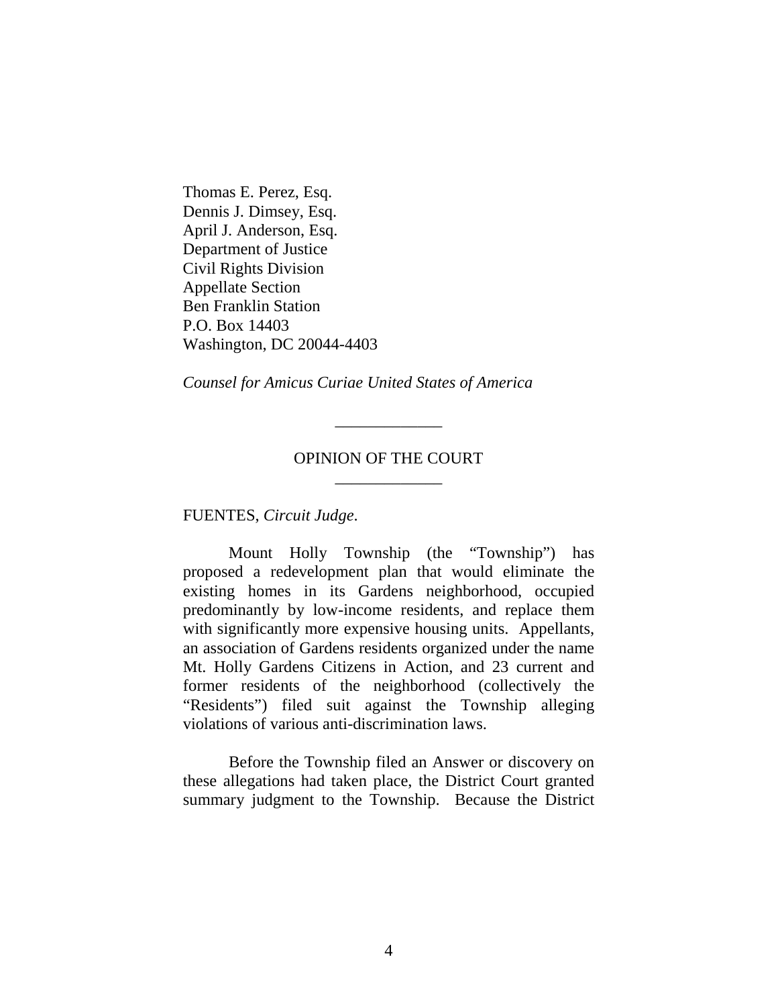Thomas E. Perez, Esq. Dennis J. Dimsey, Esq. April J. Anderson, Esq. Department of Justice Civil Rights Division Appellate Section Ben Franklin Station P.O. Box 14403 Washington, DC 20044-4403

*Counsel for Amicus Curiae United States of America*

# OPINION OF THE COURT \_\_\_\_\_\_\_\_\_\_\_\_\_

\_\_\_\_\_\_\_\_\_\_\_\_\_

FUENTES, *Circuit Judge*.

Mount Holly Township (the "Township") has proposed a redevelopment plan that would eliminate the existing homes in its Gardens neighborhood, occupied predominantly by low-income residents, and replace them with significantly more expensive housing units. Appellants, an association of Gardens residents organized under the name Mt. Holly Gardens Citizens in Action, and 23 current and former residents of the neighborhood (collectively the "Residents") filed suit against the Township alleging violations of various anti-discrimination laws.

Before the Township filed an Answer or discovery on these allegations had taken place, the District Court granted summary judgment to the Township. Because the District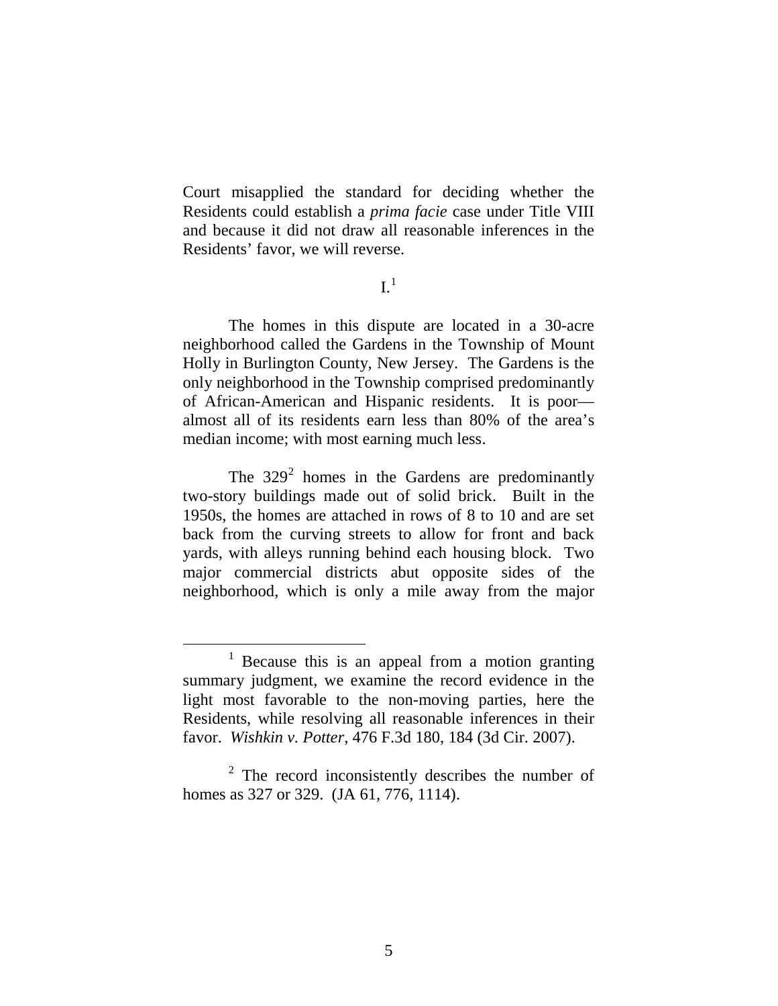Court misapplied the standard for deciding whether the Residents could establish a *prima facie* case under Title VIII and because it did not draw all reasonable inferences in the Residents' favor, we will reverse.

 $I<sup>1</sup>$  $I<sup>1</sup>$  $I<sup>1</sup>$ 

The homes in this dispute are located in a 30-acre neighborhood called the Gardens in the Township of Mount Holly in Burlington County, New Jersey. The Gardens is the only neighborhood in the Township comprised predominantly of African-American and Hispanic residents. It is poor almost all of its residents earn less than 80% of the area's median income; with most earning much less.

The  $329<sup>2</sup>$  $329<sup>2</sup>$  $329<sup>2</sup>$  homes in the Gardens are predominantly two-story buildings made out of solid brick. Built in the 1950s, the homes are attached in rows of 8 to 10 and are set back from the curving streets to allow for front and back yards, with alleys running behind each housing block. Two major commercial districts abut opposite sides of the neighborhood, which is only a mile away from the major

<span id="page-4-0"></span> $<sup>1</sup>$  Because this is an appeal from a motion granting</sup> summary judgment, we examine the record evidence in the light most favorable to the non-moving parties, here the Residents, while resolving all reasonable inferences in their favor. *Wishkin v. Potter*, 476 F.3d 180, 184 (3d Cir. 2007).

<span id="page-4-1"></span><sup>2</sup> The record inconsistently describes the number of homes as 327 or 329. (JA 61, 776, 1114).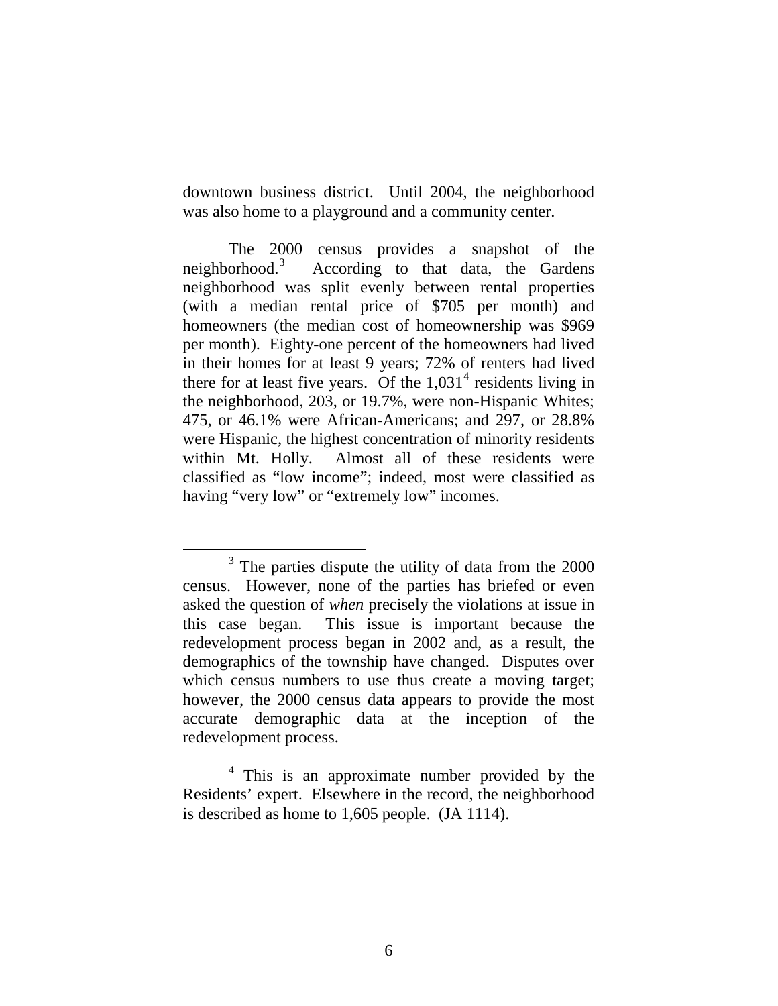downtown business district. Until 2004, the neighborhood was also home to a playground and a community center.

The 2000 census provides a snapshot of the neighborhood. $3$  According to that data, the Gardens neighborhood was split evenly between rental properties (with a median rental price of \$705 per month) and homeowners (the median cost of homeownership was \$969 per month). Eighty-one percent of the homeowners had lived in their homes for at least 9 years; 72% of renters had lived there for at least five years. Of the  $1,031<sup>4</sup>$  $1,031<sup>4</sup>$  $1,031<sup>4</sup>$  residents living in the neighborhood, 203, or 19.7%, were non-Hispanic Whites; 475, or 46.1% were African-Americans; and 297, or 28.8% were Hispanic, the highest concentration of minority residents within Mt. Holly. Almost all of these residents were classified as "low income"; indeed, most were classified as having "very low" or "extremely low" incomes.

<span id="page-5-0"></span><sup>&</sup>lt;sup>3</sup> The parties dispute the utility of data from the 2000 census. However, none of the parties has briefed or even asked the question of *when* precisely the violations at issue in this case began. This issue is important because the redevelopment process began in 2002 and, as a result, the demographics of the township have changed. Disputes over which census numbers to use thus create a moving target; however, the 2000 census data appears to provide the most accurate demographic data at the inception of the redevelopment process.

<span id="page-5-1"></span><sup>&</sup>lt;sup>4</sup> This is an approximate number provided by the Residents' expert. Elsewhere in the record, the neighborhood is described as home to 1,605 people. (JA 1114).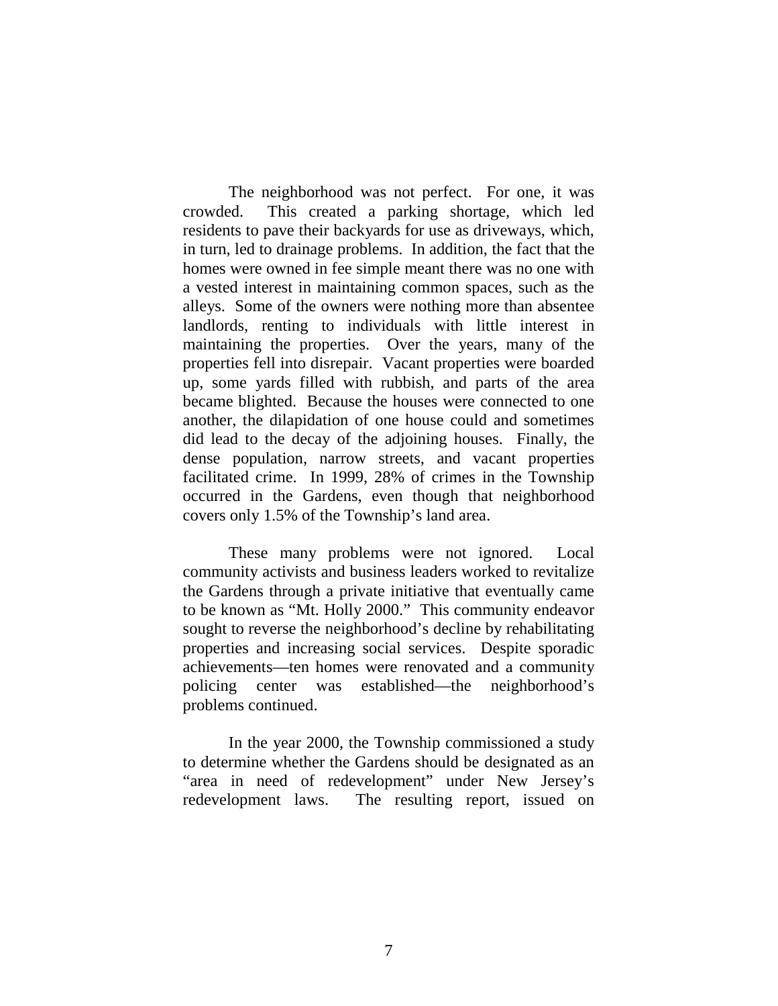The neighborhood was not perfect. For one, it was crowded. This created a parking shortage, which led residents to pave their backyards for use as driveways, which, in turn, led to drainage problems. In addition, the fact that the homes were owned in fee simple meant there was no one with a vested interest in maintaining common spaces, such as the alleys. Some of the owners were nothing more than absentee landlords, renting to individuals with little interest in maintaining the properties. Over the years, many of the properties fell into disrepair. Vacant properties were boarded up, some yards filled with rubbish, and parts of the area became blighted. Because the houses were connected to one another, the dilapidation of one house could and sometimes did lead to the decay of the adjoining houses. Finally, the dense population, narrow streets, and vacant properties facilitated crime. In 1999, 28% of crimes in the Township occurred in the Gardens, even though that neighborhood covers only 1.5% of the Township's land area.

These many problems were not ignored. Local community activists and business leaders worked to revitalize the Gardens through a private initiative that eventually came to be known as "Mt. Holly 2000." This community endeavor sought to reverse the neighborhood's decline by rehabilitating properties and increasing social services. Despite sporadic achievements—ten homes were renovated and a community policing center was established—the neighborhood's problems continued.

In the year 2000, the Township commissioned a study to determine whether the Gardens should be designated as an "area in need of redevelopment" under New Jersey's redevelopment laws. The resulting report, issued on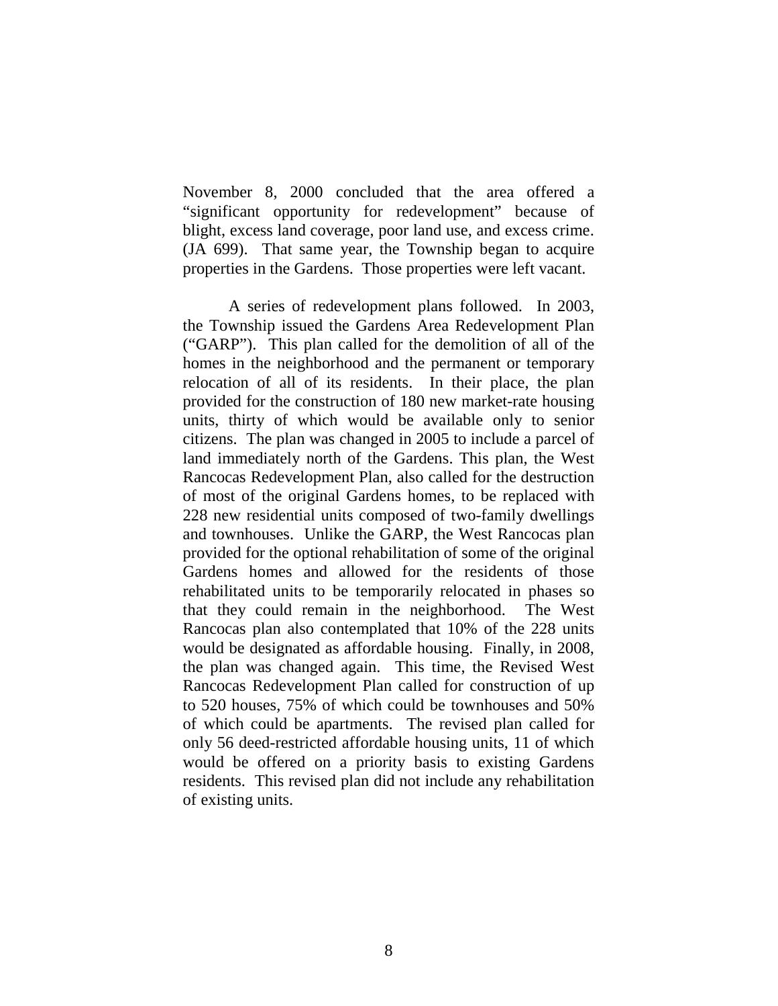November 8, 2000 concluded that the area offered a "significant opportunity for redevelopment" because of blight, excess land coverage, poor land use, and excess crime. (JA 699). That same year, the Township began to acquire properties in the Gardens. Those properties were left vacant.

A series of redevelopment plans followed. In 2003, the Township issued the Gardens Area Redevelopment Plan ("GARP"). This plan called for the demolition of all of the homes in the neighborhood and the permanent or temporary relocation of all of its residents. In their place, the plan provided for the construction of 180 new market-rate housing units, thirty of which would be available only to senior citizens. The plan was changed in 2005 to include a parcel of land immediately north of the Gardens. This plan, the West Rancocas Redevelopment Plan, also called for the destruction of most of the original Gardens homes, to be replaced with 228 new residential units composed of two-family dwellings and townhouses. Unlike the GARP, the West Rancocas plan provided for the optional rehabilitation of some of the original Gardens homes and allowed for the residents of those rehabilitated units to be temporarily relocated in phases so that they could remain in the neighborhood. The West Rancocas plan also contemplated that 10% of the 228 units would be designated as affordable housing. Finally, in 2008, the plan was changed again. This time, the Revised West Rancocas Redevelopment Plan called for construction of up to 520 houses, 75% of which could be townhouses and 50% of which could be apartments. The revised plan called for only 56 deed-restricted affordable housing units, 11 of which would be offered on a priority basis to existing Gardens residents. This revised plan did not include any rehabilitation of existing units.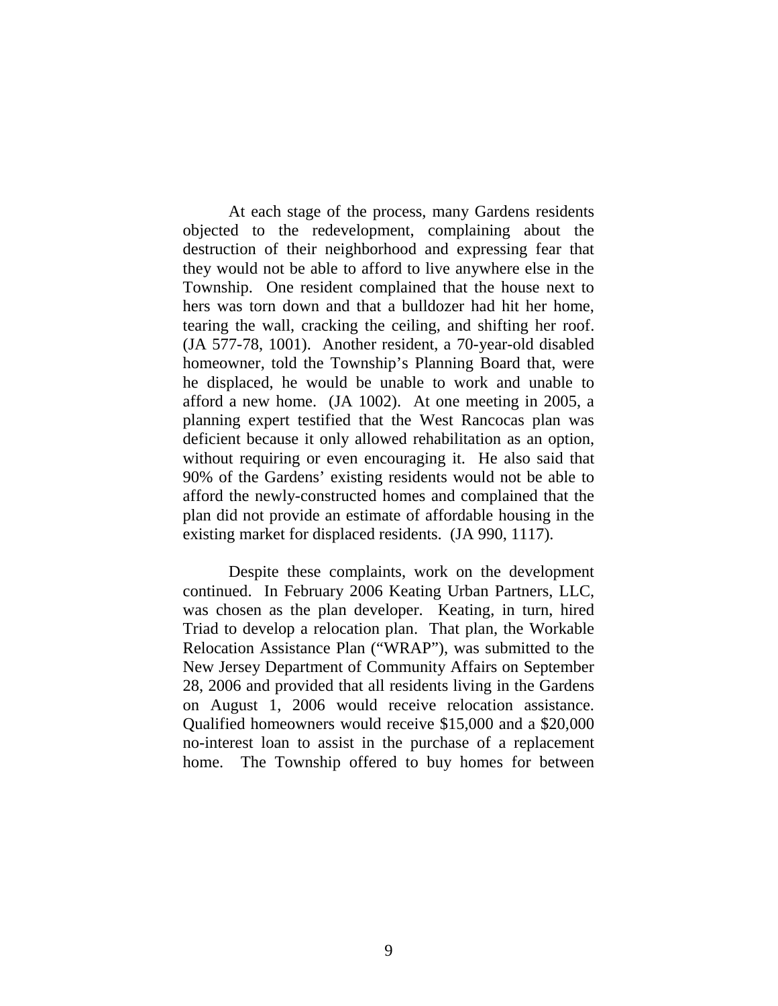At each stage of the process, many Gardens residents objected to the redevelopment, complaining about the destruction of their neighborhood and expressing fear that they would not be able to afford to live anywhere else in the Township. One resident complained that the house next to hers was torn down and that a bulldozer had hit her home, tearing the wall, cracking the ceiling, and shifting her roof. (JA 577-78, 1001). Another resident, a 70-year-old disabled homeowner, told the Township's Planning Board that, were he displaced, he would be unable to work and unable to afford a new home. (JA 1002). At one meeting in 2005, a planning expert testified that the West Rancocas plan was deficient because it only allowed rehabilitation as an option, without requiring or even encouraging it. He also said that 90% of the Gardens' existing residents would not be able to afford the newly-constructed homes and complained that the plan did not provide an estimate of affordable housing in the existing market for displaced residents. (JA 990, 1117).

Despite these complaints, work on the development continued. In February 2006 Keating Urban Partners, LLC, was chosen as the plan developer. Keating, in turn, hired Triad to develop a relocation plan. That plan, the Workable Relocation Assistance Plan ("WRAP"), was submitted to the New Jersey Department of Community Affairs on September 28, 2006 and provided that all residents living in the Gardens on August 1, 2006 would receive relocation assistance. Qualified homeowners would receive \$15,000 and a \$20,000 no-interest loan to assist in the purchase of a replacement home. The Township offered to buy homes for between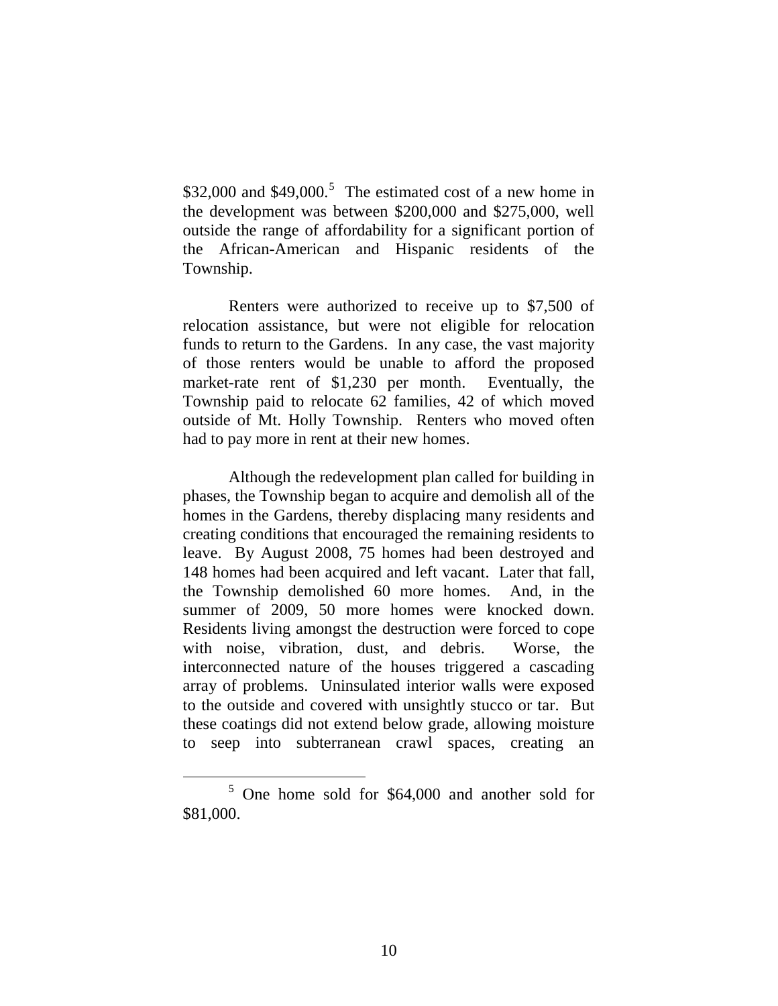$$32,000$  and  $$49,000$ <sup>[5](#page-9-0)</sup> The estimated cost of a new home in the development was between \$200,000 and \$275,000, well outside the range of affordability for a significant portion of the African-American and Hispanic residents of the Township.

Renters were authorized to receive up to \$7,500 of relocation assistance, but were not eligible for relocation funds to return to the Gardens. In any case, the vast majority of those renters would be unable to afford the proposed market-rate rent of \$1,230 per month. Eventually, the Township paid to relocate 62 families, 42 of which moved outside of Mt. Holly Township. Renters who moved often had to pay more in rent at their new homes.

Although the redevelopment plan called for building in phases, the Township began to acquire and demolish all of the homes in the Gardens, thereby displacing many residents and creating conditions that encouraged the remaining residents to leave. By August 2008, 75 homes had been destroyed and 148 homes had been acquired and left vacant. Later that fall, the Township demolished 60 more homes. And, in the summer of 2009, 50 more homes were knocked down. Residents living amongst the destruction were forced to cope with noise, vibration, dust, and debris. Worse, the interconnected nature of the houses triggered a cascading array of problems. Uninsulated interior walls were exposed to the outside and covered with unsightly stucco or tar. But these coatings did not extend below grade, allowing moisture to seep into subterranean crawl spaces, creating an

<span id="page-9-0"></span> <sup>5</sup> One home sold for \$64,000 and another sold for \$81,000.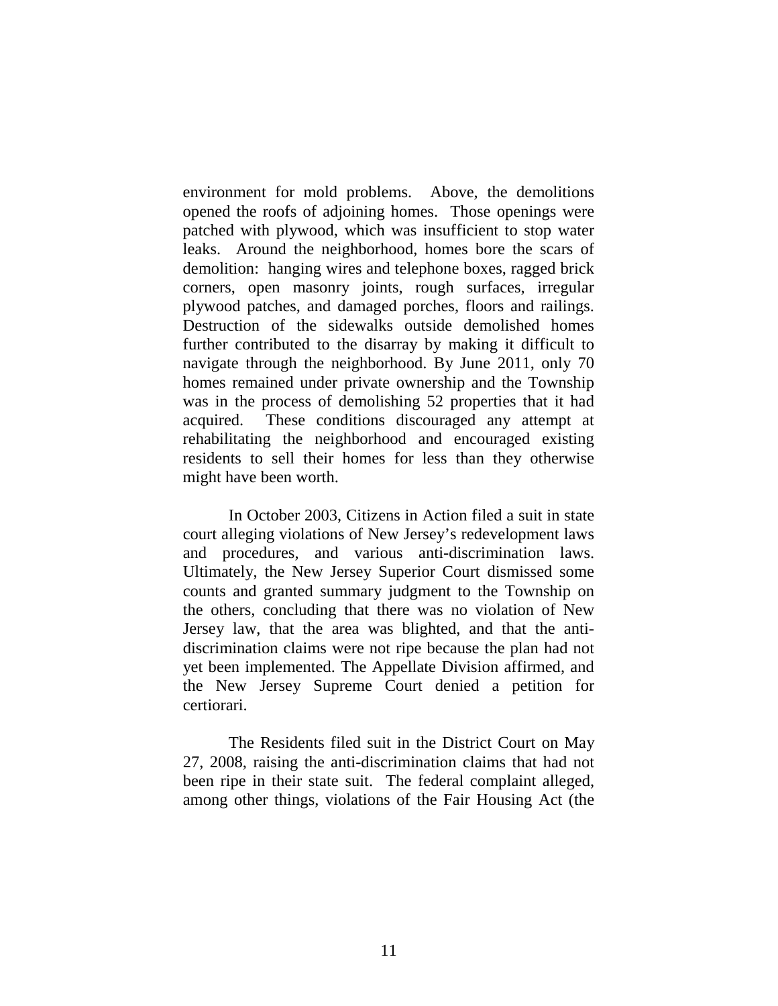environment for mold problems. Above, the demolitions opened the roofs of adjoining homes. Those openings were patched with plywood, which was insufficient to stop water leaks. Around the neighborhood, homes bore the scars of demolition: hanging wires and telephone boxes, ragged brick corners, open masonry joints, rough surfaces, irregular plywood patches, and damaged porches, floors and railings. Destruction of the sidewalks outside demolished homes further contributed to the disarray by making it difficult to navigate through the neighborhood. By June 2011, only 70 homes remained under private ownership and the Township was in the process of demolishing 52 properties that it had acquired. These conditions discouraged any attempt at rehabilitating the neighborhood and encouraged existing residents to sell their homes for less than they otherwise might have been worth.

In October 2003, Citizens in Action filed a suit in state court alleging violations of New Jersey's redevelopment laws and procedures, and various anti-discrimination laws. Ultimately, the New Jersey Superior Court dismissed some counts and granted summary judgment to the Township on the others, concluding that there was no violation of New Jersey law, that the area was blighted, and that the antidiscrimination claims were not ripe because the plan had not yet been implemented. The Appellate Division affirmed, and the New Jersey Supreme Court denied a petition for certiorari.

The Residents filed suit in the District Court on May 27, 2008, raising the anti-discrimination claims that had not been ripe in their state suit. The federal complaint alleged, among other things, violations of the Fair Housing Act (the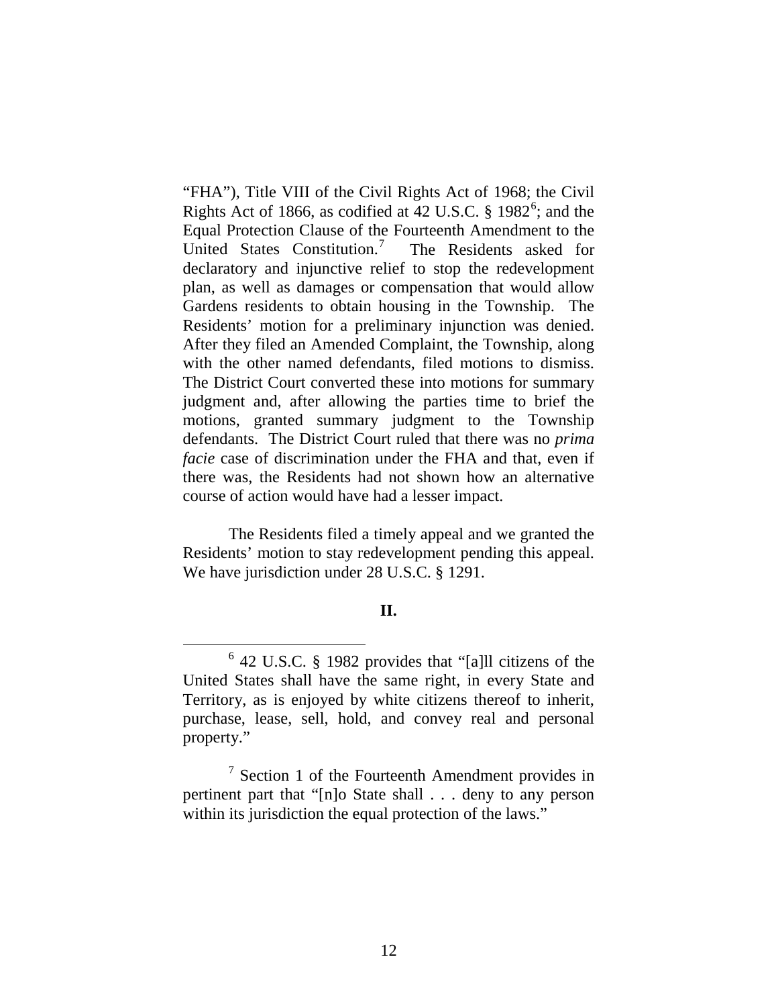"FHA"), Title VIII of the Civil Rights Act of 1968; the Civil Rights Act of 18[6](#page-11-0)6, as codified at  $42$  U.S.C. § 1982<sup>6</sup>; and the Equal Protection Clause of the Fourteenth Amendment to the United States Constitution.<sup>[7](#page-11-1)</sup> The Residents asked for declaratory and injunctive relief to stop the redevelopment plan, as well as damages or compensation that would allow Gardens residents to obtain housing in the Township. The Residents' motion for a preliminary injunction was denied. After they filed an Amended Complaint, the Township, along with the other named defendants, filed motions to dismiss. The District Court converted these into motions for summary judgment and, after allowing the parties time to brief the motions, granted summary judgment to the Township defendants. The District Court ruled that there was no *prima facie* case of discrimination under the FHA and that, even if there was, the Residents had not shown how an alternative course of action would have had a lesser impact.

The Residents filed a timely appeal and we granted the Residents' motion to stay redevelopment pending this appeal. We have jurisdiction under 28 U.S.C. § 1291.

# **II.**

<span id="page-11-0"></span> <sup>6</sup> 42 U.S.C. § 1982 provides that "[a]ll citizens of the United States shall have the same right, in every State and Territory, as is enjoyed by white citizens thereof to inherit, purchase, lease, sell, hold, and convey real and personal property."

<span id="page-11-1"></span> $7$  Section 1 of the Fourteenth Amendment provides in pertinent part that "[n]o State shall . . . deny to any person within its jurisdiction the equal protection of the laws."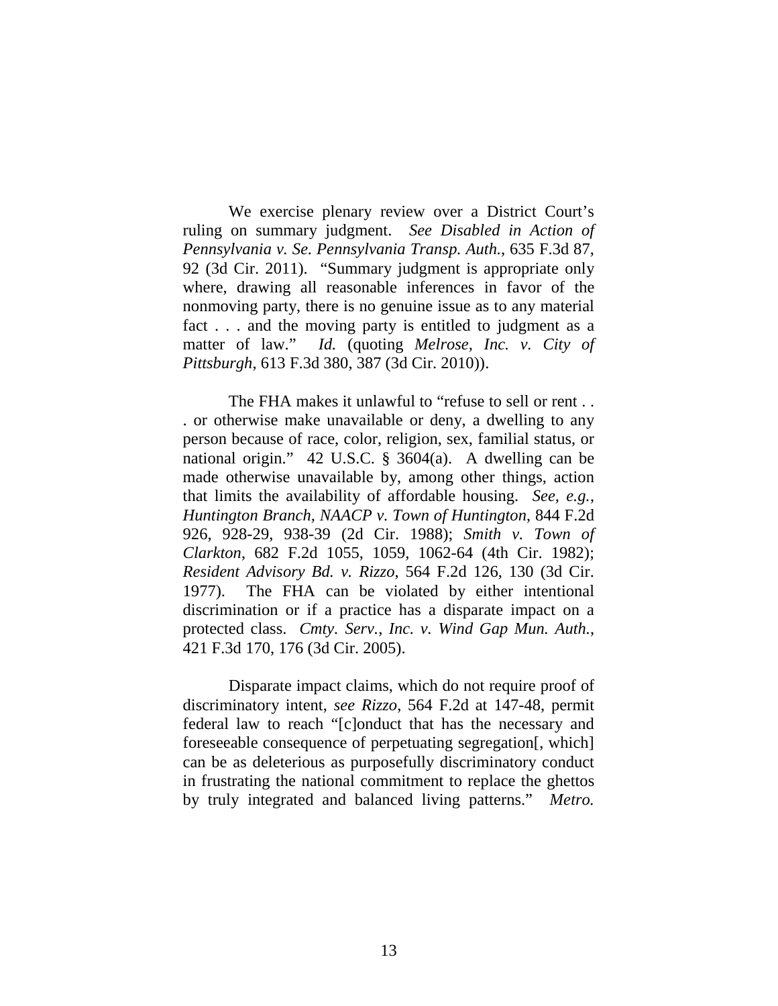We exercise plenary review over a District Court's ruling on summary judgment. *See Disabled in Action of Pennsylvania v. Se. Pennsylvania Transp. Auth.*, 635 F.3d 87, 92 (3d Cir. 2011). "Summary judgment is appropriate only where, drawing all reasonable inferences in favor of the nonmoving party, there is no genuine issue as to any material fact . . . and the moving party is entitled to judgment as a matter of law." *Id.* (quoting *Melrose, Inc. v. City of Pittsburgh*, 613 F.3d 380, 387 (3d Cir. 2010)).

The FHA makes it unlawful to "refuse to sell or rent... . or otherwise make unavailable or deny, a dwelling to any person because of race, color, religion, sex, familial status, or national origin." 42 U.S.C. § 3604(a). A dwelling can be made otherwise unavailable by, among other things, action that limits the availability of affordable housing. *See, e.g.*, *Huntington Branch, NAACP v. Town of Huntington*, 844 F.2d 926, 928-29, 938-39 (2d Cir. 1988); *Smith v. Town of Clarkton*, 682 F.2d 1055, 1059, 1062-64 (4th Cir. 1982); *Resident Advisory Bd. v. Rizzo*, 564 F.2d 126, 130 (3d Cir. 1977). The FHA can be violated by either intentional discrimination or if a practice has a disparate impact on a protected class. *Cmty. Serv., Inc. v. Wind Gap Mun. Auth.*, 421 F.3d 170, 176 (3d Cir. 2005).

Disparate impact claims, which do not require proof of discriminatory intent, *see Rizzo*, 564 F.2d at 147-48, permit federal law to reach "[c]onduct that has the necessary and foreseeable consequence of perpetuating segregation[, which] can be as deleterious as purposefully discriminatory conduct in frustrating the national commitment to replace the ghettos by truly integrated and balanced living patterns." *Metro.*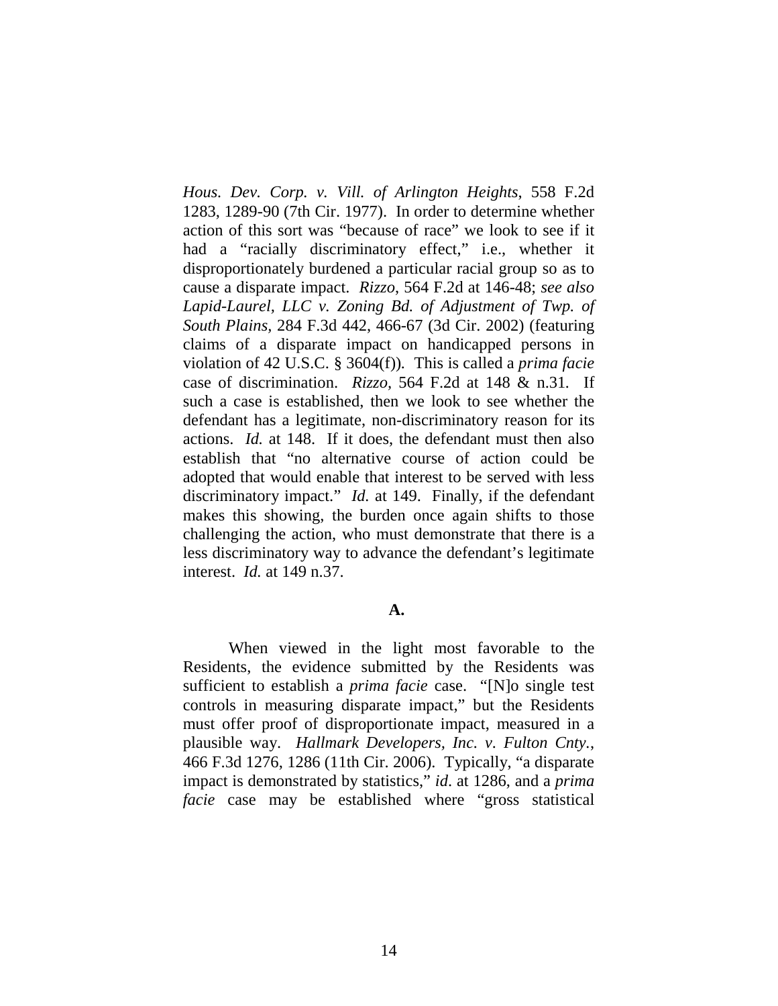*Hous. Dev. Corp. v. Vill. of Arlington Heights*, 558 F.2d 1283, 1289-90 (7th Cir. 1977). In order to determine whether action of this sort was "because of race" we look to see if it had a "racially discriminatory effect," i.e., whether it disproportionately burdened a particular racial group so as to cause a disparate impact. *Rizzo*, 564 F.2d at 146-48; *see also Lapid-Laurel, LLC v. Zoning Bd. of Adjustment of Twp. of South Plains,* 284 F.3d 442, 466-67 (3d Cir. 2002) (featuring claims of a disparate impact on handicapped persons in violation of 42 U.S.C. § 3604(f))*.* This is called a *prima facie* case of discrimination. *Rizzo,* 564 F.2d at 148 & n.31*.* If such a case is established, then we look to see whether the defendant has a legitimate, non-discriminatory reason for its actions. *Id.* at 148. If it does, the defendant must then also establish that "no alternative course of action could be adopted that would enable that interest to be served with less discriminatory impact." *Id.* at 149. Finally, if the defendant makes this showing, the burden once again shifts to those challenging the action, who must demonstrate that there is a less discriminatory way to advance the defendant's legitimate interest. *Id.* at 149 n.37.

### **A.**

When viewed in the light most favorable to the Residents, the evidence submitted by the Residents was sufficient to establish a *prima facie* case. "[N]o single test controls in measuring disparate impact," but the Residents must offer proof of disproportionate impact, measured in a plausible way. *Hallmark Developers, Inc. v. Fulton Cnty.*, 466 F.3d 1276, 1286 (11th Cir. 2006). Typically, "a disparate impact is demonstrated by statistics," *id*. at 1286, and a *prima facie* case may be established where "gross statistical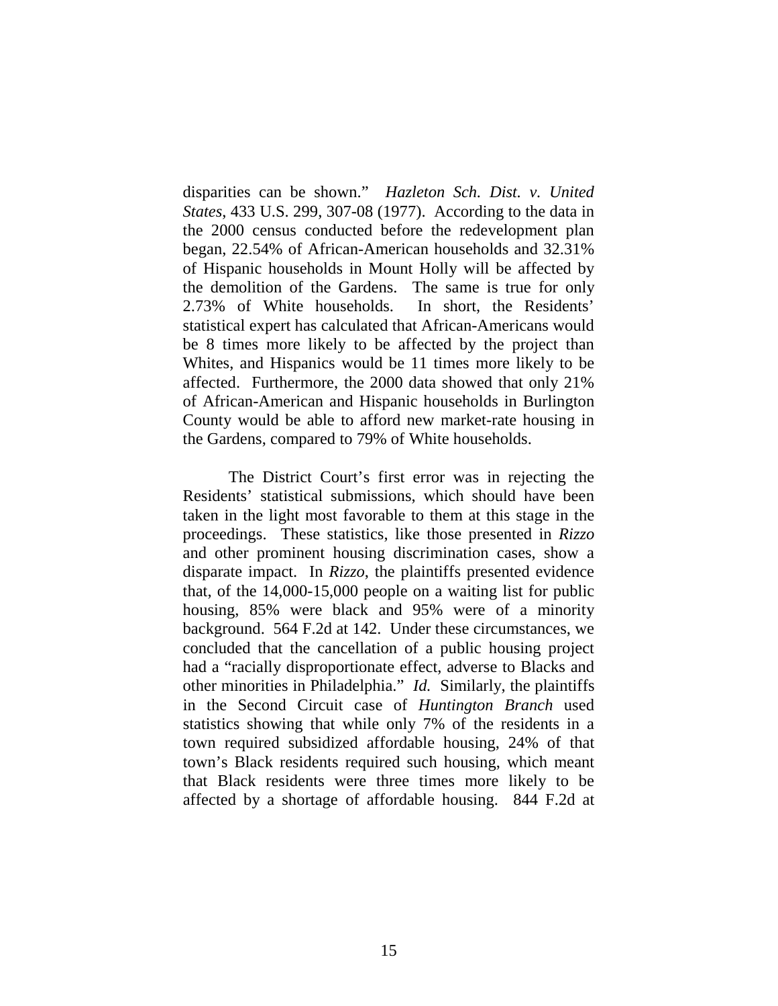disparities can be shown." *Hazleton Sch. Dist. v. United States*, 433 U.S. 299, 307-08 (1977). According to the data in the 2000 census conducted before the redevelopment plan began, 22.54% of African-American households and 32.31% of Hispanic households in Mount Holly will be affected by the demolition of the Gardens. The same is true for only 2.73% of White households. In short, the Residents' statistical expert has calculated that African-Americans would be 8 times more likely to be affected by the project than Whites, and Hispanics would be 11 times more likely to be affected. Furthermore, the 2000 data showed that only 21% of African-American and Hispanic households in Burlington County would be able to afford new market-rate housing in the Gardens, compared to 79% of White households.

The District Court's first error was in rejecting the Residents' statistical submissions, which should have been taken in the light most favorable to them at this stage in the proceedings. These statistics, like those presented in *Rizzo* and other prominent housing discrimination cases, show a disparate impact. In *Rizzo*, the plaintiffs presented evidence that, of the 14,000-15,000 people on a waiting list for public housing, 85% were black and 95% were of a minority background. 564 F.2d at 142. Under these circumstances, we concluded that the cancellation of a public housing project had a "racially disproportionate effect, adverse to Blacks and other minorities in Philadelphia." *Id.* Similarly, the plaintiffs in the Second Circuit case of *Huntington Branch* used statistics showing that while only 7% of the residents in a town required subsidized affordable housing, 24% of that town's Black residents required such housing, which meant that Black residents were three times more likely to be affected by a shortage of affordable housing. 844 F.2d at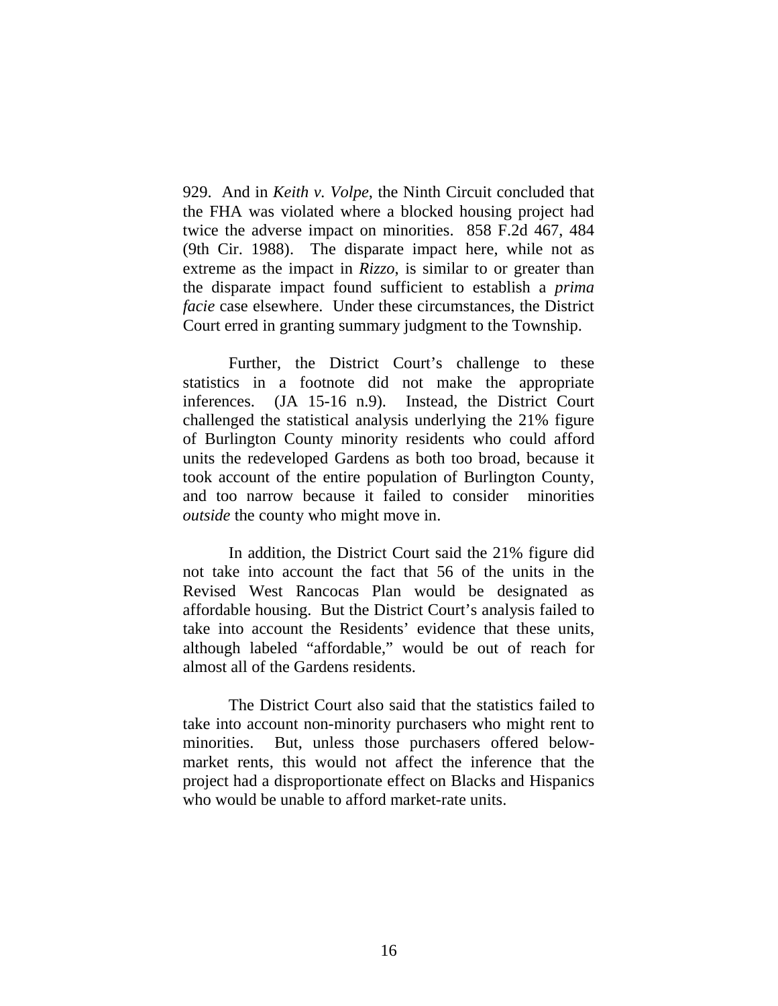929. And in *Keith v. Volpe*, the Ninth Circuit concluded that the FHA was violated where a blocked housing project had twice the adverse impact on minorities. 858 F.2d 467, 484 (9th Cir. 1988). The disparate impact here, while not as extreme as the impact in *Rizzo*, is similar to or greater than the disparate impact found sufficient to establish a *prima facie* case elsewhere. Under these circumstances, the District Court erred in granting summary judgment to the Township.

Further, the District Court's challenge to these statistics in a footnote did not make the appropriate inferences. (JA 15-16 n.9). Instead, the District Court challenged the statistical analysis underlying the 21% figure of Burlington County minority residents who could afford units the redeveloped Gardens as both too broad, because it took account of the entire population of Burlington County, and too narrow because it failed to consider minorities *outside* the county who might move in.

In addition, the District Court said the 21% figure did not take into account the fact that 56 of the units in the Revised West Rancocas Plan would be designated as affordable housing. But the District Court's analysis failed to take into account the Residents' evidence that these units, although labeled "affordable," would be out of reach for almost all of the Gardens residents.

The District Court also said that the statistics failed to take into account non-minority purchasers who might rent to minorities. But, unless those purchasers offered belowmarket rents, this would not affect the inference that the project had a disproportionate effect on Blacks and Hispanics who would be unable to afford market-rate units.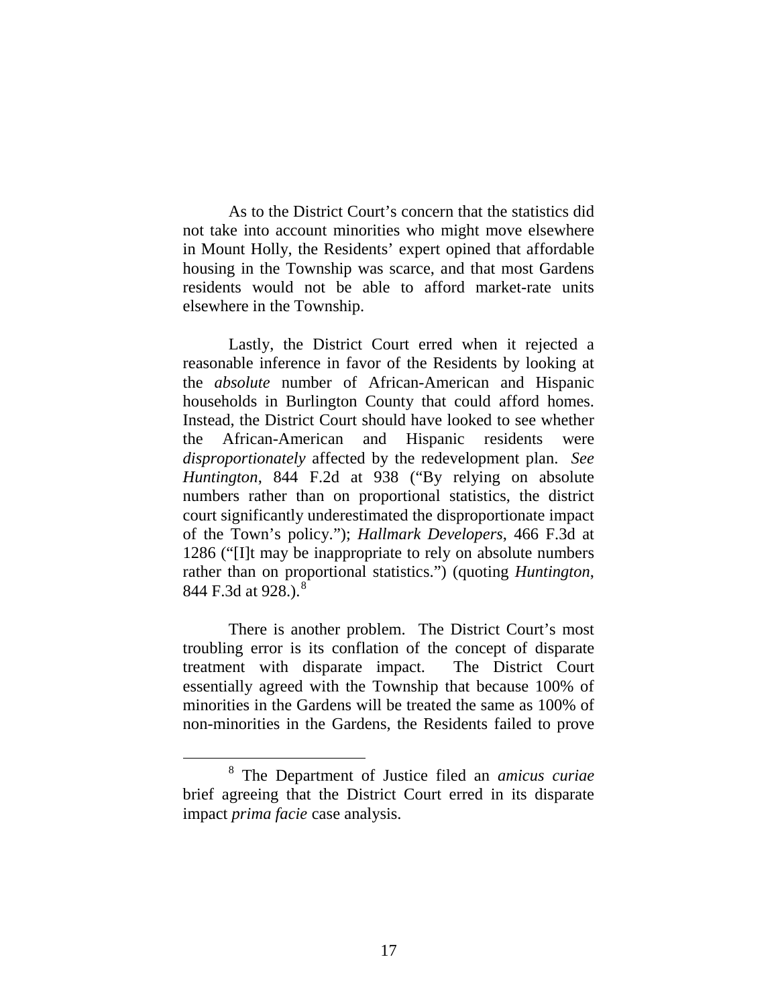As to the District Court's concern that the statistics did not take into account minorities who might move elsewhere in Mount Holly, the Residents' expert opined that affordable housing in the Township was scarce, and that most Gardens residents would not be able to afford market-rate units elsewhere in the Township.

Lastly, the District Court erred when it rejected a reasonable inference in favor of the Residents by looking at the *absolute* number of African-American and Hispanic households in Burlington County that could afford homes. Instead, the District Court should have looked to see whether the African-American and Hispanic residents were *disproportionately* affected by the redevelopment plan. *See Huntington*, 844 F.2d at 938 ("By relying on absolute numbers rather than on proportional statistics, the district court significantly underestimated the disproportionate impact of the Town's policy."); *Hallmark Developers*, 466 F.3d at 1286 ("[I]t may be inappropriate to rely on absolute numbers rather than on proportional statistics.") (quoting *Huntington*, [8](#page-16-0)44 F.3d at 928.).<sup>8</sup>

There is another problem. The District Court's most troubling error is its conflation of the concept of disparate treatment with disparate impact. The District Court essentially agreed with the Township that because 100% of minorities in the Gardens will be treated the same as 100% of non-minorities in the Gardens, the Residents failed to prove

<span id="page-16-0"></span> <sup>8</sup> The Department of Justice filed an *amicus curiae* brief agreeing that the District Court erred in its disparate impact *prima facie* case analysis.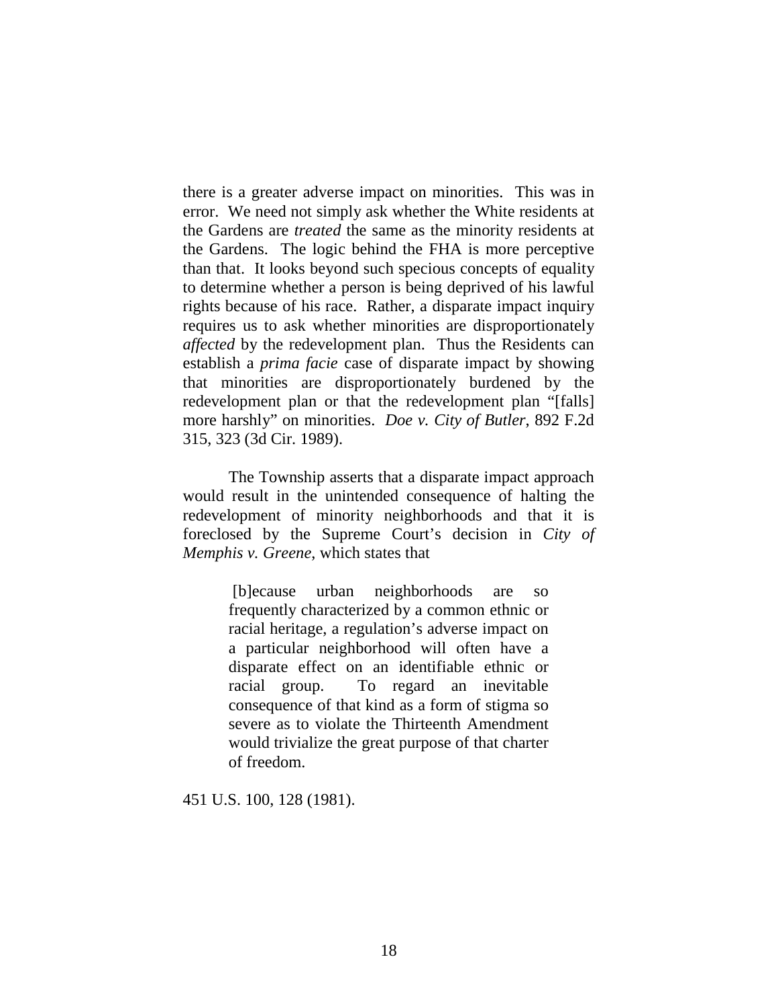there is a greater adverse impact on minorities. This was in error. We need not simply ask whether the White residents at the Gardens are *treated* the same as the minority residents at the Gardens. The logic behind the FHA is more perceptive than that. It looks beyond such specious concepts of equality to determine whether a person is being deprived of his lawful rights because of his race. Rather, a disparate impact inquiry requires us to ask whether minorities are disproportionately *affected* by the redevelopment plan. Thus the Residents can establish a *prima facie* case of disparate impact by showing that minorities are disproportionately burdened by the redevelopment plan or that the redevelopment plan "[falls] more harshly" on minorities. *Doe v. City of Butler*, 892 F.2d 315, 323 (3d Cir. 1989).

The Township asserts that a disparate impact approach would result in the unintended consequence of halting the redevelopment of minority neighborhoods and that it is foreclosed by the Supreme Court's decision in *City of Memphis v. Greene*, which states that

> [b]ecause urban neighborhoods are so frequently characterized by a common ethnic or racial heritage, a regulation's adverse impact on a particular neighborhood will often have a disparate effect on an identifiable ethnic or racial group. To regard an inevitable consequence of that kind as a form of stigma so severe as to violate the Thirteenth Amendment would trivialize the great purpose of that charter of freedom.

451 U.S. 100, 128 (1981).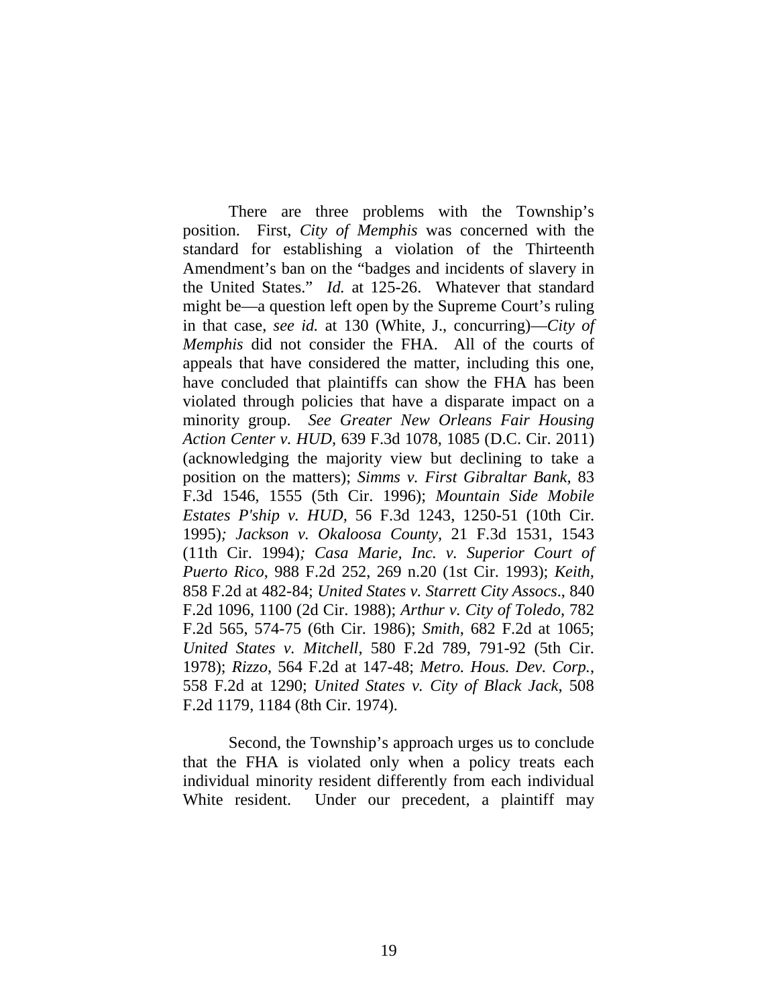There are three problems with the Township's position. First, *City of Memphis* was concerned with the standard for establishing a violation of the Thirteenth Amendment's ban on the "badges and incidents of slavery in the United States." *Id.* at 125-26. Whatever that standard might be—a question left open by the Supreme Court's ruling in that case, *see id.* at 130 (White, J., concurring)—*City of Memphis* did not consider the FHA. All of the courts of appeals that have considered the matter, including this one, have concluded that plaintiffs can show the FHA has been violated through policies that have a disparate impact on a minority group. *See Greater New Orleans Fair Housing Action Center v. HUD*, 639 F.3d 1078, 1085 (D.C. Cir. 2011) (acknowledging the majority view but declining to take a position on the matters); *Simms v. First Gibraltar Bank,* 83 F.3d 1546, 1555 (5th Cir. 1996); *Mountain Side Mobile Estates P'ship v. HUD,* 56 F.3d 1243, 1250-51 (10th Cir. 1995)*; Jackson v. Okaloosa County,* 21 F.3d 1531, 1543 (11th Cir. 1994)*; Casa Marie, Inc. v. Superior Court of Puerto Rico*, 988 F.2d 252, 269 n.20 (1st Cir. 1993); *Keith,*  858 F.2d at 482-84; *United States v. Starrett City Assocs*., 840 F.2d 1096, 1100 (2d Cir. 1988); *Arthur v. City of Toledo,* 782 F.2d 565, 574-75 (6th Cir. 1986); *Smith*, 682 F.2d at 1065; *United States v. Mitchell*, 580 F.2d 789, 791-92 (5th Cir. 1978); *Rizzo,* 564 F.2d at 147-48; *Metro. Hous. Dev. Corp.*, 558 F.2d at 1290; *United States v. City of Black Jack*, 508 F.2d 1179, 1184 (8th Cir. 1974).

Second, the Township's approach urges us to conclude that the FHA is violated only when a policy treats each individual minority resident differently from each individual White resident. Under our precedent, a plaintiff may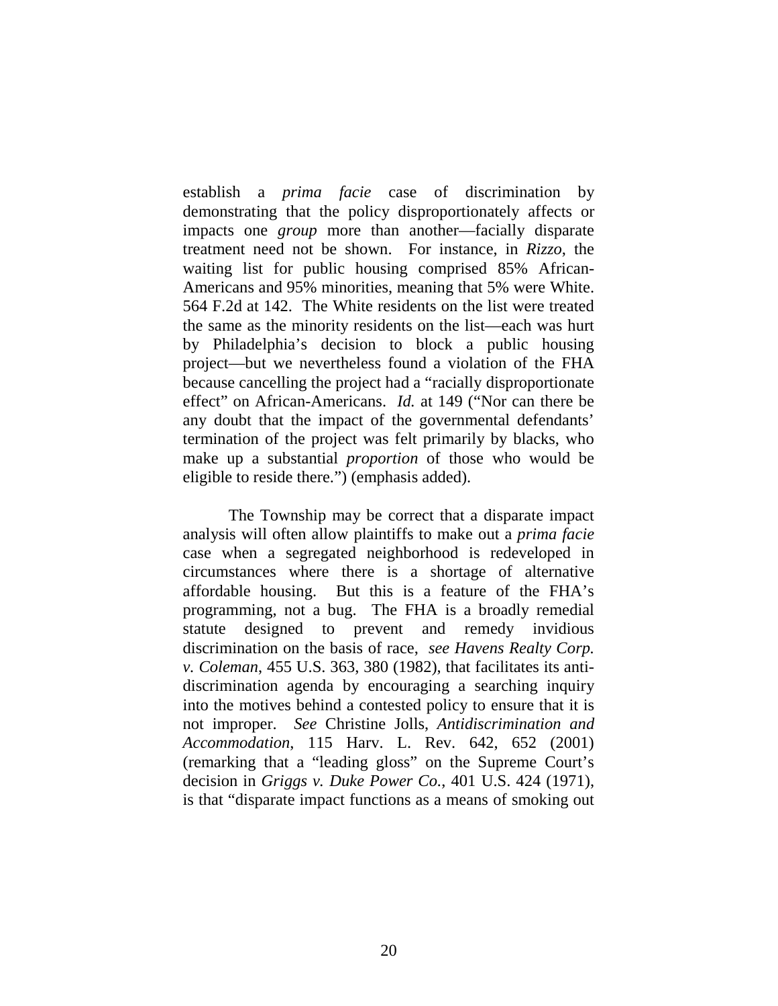establish a *prima facie* case of discrimination by demonstrating that the policy disproportionately affects or impacts one *group* more than another—facially disparate treatment need not be shown. For instance, in *Rizzo*, the waiting list for public housing comprised 85% African-Americans and 95% minorities, meaning that 5% were White. 564 F.2d at 142. The White residents on the list were treated the same as the minority residents on the list—each was hurt by Philadelphia's decision to block a public housing project—but we nevertheless found a violation of the FHA because cancelling the project had a "racially disproportionate effect" on African-Americans. *Id.* at 149 ("Nor can there be any doubt that the impact of the governmental defendants' termination of the project was felt primarily by blacks, who make up a substantial *proportion* of those who would be eligible to reside there.") (emphasis added).

The Township may be correct that a disparate impact analysis will often allow plaintiffs to make out a *prima facie* case when a segregated neighborhood is redeveloped in circumstances where there is a shortage of alternative affordable housing. But this is a feature of the FHA's programming, not a bug. The FHA is a broadly remedial statute designed to prevent and remedy invidious discrimination on the basis of race, *see Havens Realty Corp. v. Coleman*, 455 U.S. 363, 380 (1982), that facilitates its antidiscrimination agenda by encouraging a searching inquiry into the motives behind a contested policy to ensure that it is not improper. *See* Christine Jolls, *Antidiscrimination and Accommodation*, 115 Harv. L. Rev. 642, 652 (2001) (remarking that a "leading gloss" on the Supreme Court's decision in *Griggs v. Duke Power Co.*, 401 U.S. 424 (1971), is that "disparate impact functions as a means of smoking out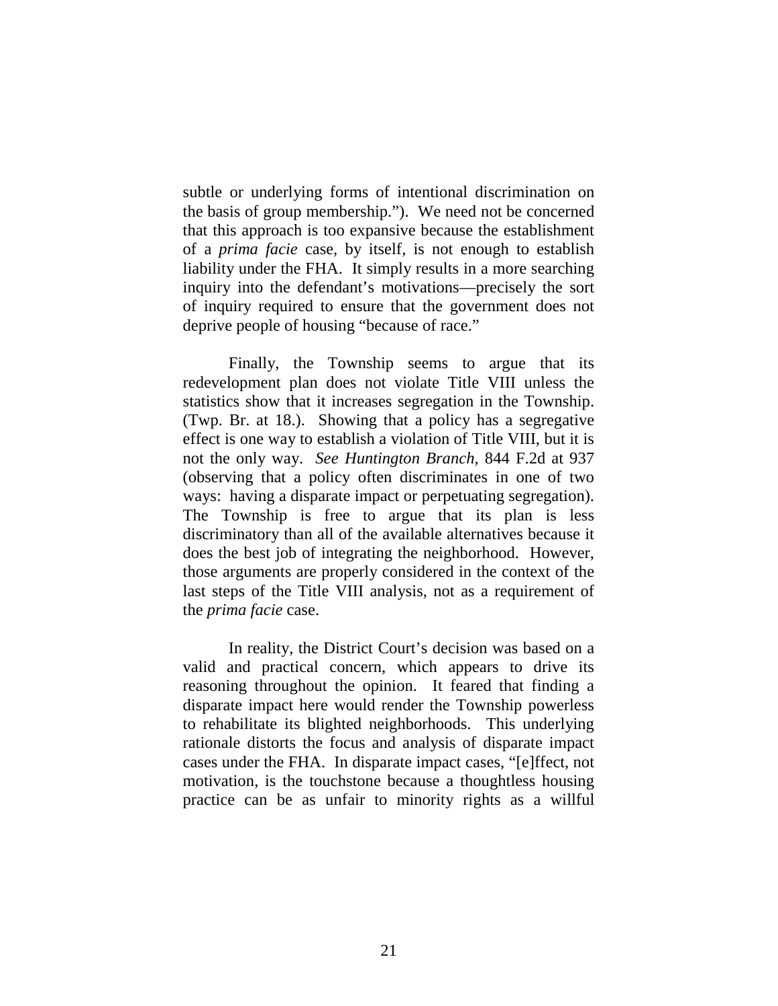subtle or underlying forms of intentional discrimination on the basis of group membership."). We need not be concerned that this approach is too expansive because the establishment of a *prima facie* case, by itself, is not enough to establish liability under the FHA. It simply results in a more searching inquiry into the defendant's motivations—precisely the sort of inquiry required to ensure that the government does not deprive people of housing "because of race."

Finally, the Township seems to argue that its redevelopment plan does not violate Title VIII unless the statistics show that it increases segregation in the Township. (Twp. Br. at 18.). Showing that a policy has a segregative effect is one way to establish a violation of Title VIII, but it is not the only way. *See Huntington Branch*, 844 F.2d at 937 (observing that a policy often discriminates in one of two ways: having a disparate impact or perpetuating segregation). The Township is free to argue that its plan is less discriminatory than all of the available alternatives because it does the best job of integrating the neighborhood. However, those arguments are properly considered in the context of the last steps of the Title VIII analysis, not as a requirement of the *prima facie* case.

In reality, the District Court's decision was based on a valid and practical concern, which appears to drive its reasoning throughout the opinion. It feared that finding a disparate impact here would render the Township powerless to rehabilitate its blighted neighborhoods. This underlying rationale distorts the focus and analysis of disparate impact cases under the FHA. In disparate impact cases, "[e]ffect, not motivation, is the touchstone because a thoughtless housing practice can be as unfair to minority rights as a willful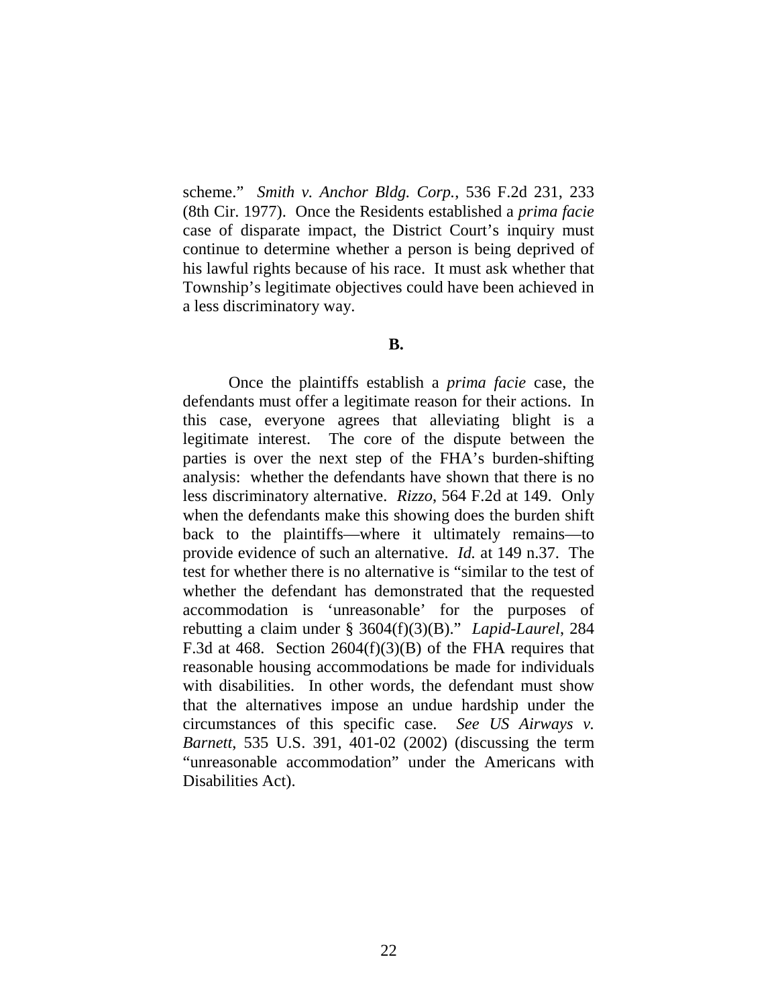scheme." *Smith v. Anchor Bldg. Corp.*, 536 F.2d 231, 233 (8th Cir. 1977). Once the Residents established a *prima facie* case of disparate impact, the District Court's inquiry must continue to determine whether a person is being deprived of his lawful rights because of his race. It must ask whether that Township's legitimate objectives could have been achieved in a less discriminatory way.

### **B.**

Once the plaintiffs establish a *prima facie* case, the defendants must offer a legitimate reason for their actions. In this case, everyone agrees that alleviating blight is a legitimate interest. The core of the dispute between the parties is over the next step of the FHA's burden-shifting analysis: whether the defendants have shown that there is no less discriminatory alternative. *Rizzo*, 564 F.2d at 149. Only when the defendants make this showing does the burden shift back to the plaintiffs—where it ultimately remains—to provide evidence of such an alternative. *Id.* at 149 n.37. The test for whether there is no alternative is "similar to the test of whether the defendant has demonstrated that the requested accommodation is 'unreasonable' for the purposes of rebutting a claim under § 3604(f)(3)(B)." *Lapid-Laurel*, 284 F.3d at 468. Section 2604(f)(3)(B) of the FHA requires that reasonable housing accommodations be made for individuals with disabilities. In other words, the defendant must show that the alternatives impose an undue hardship under the circumstances of this specific case. *See US Airways v. Barnett*, 535 U.S. 391, 401-02 (2002) (discussing the term "unreasonable accommodation" under the Americans with Disabilities Act).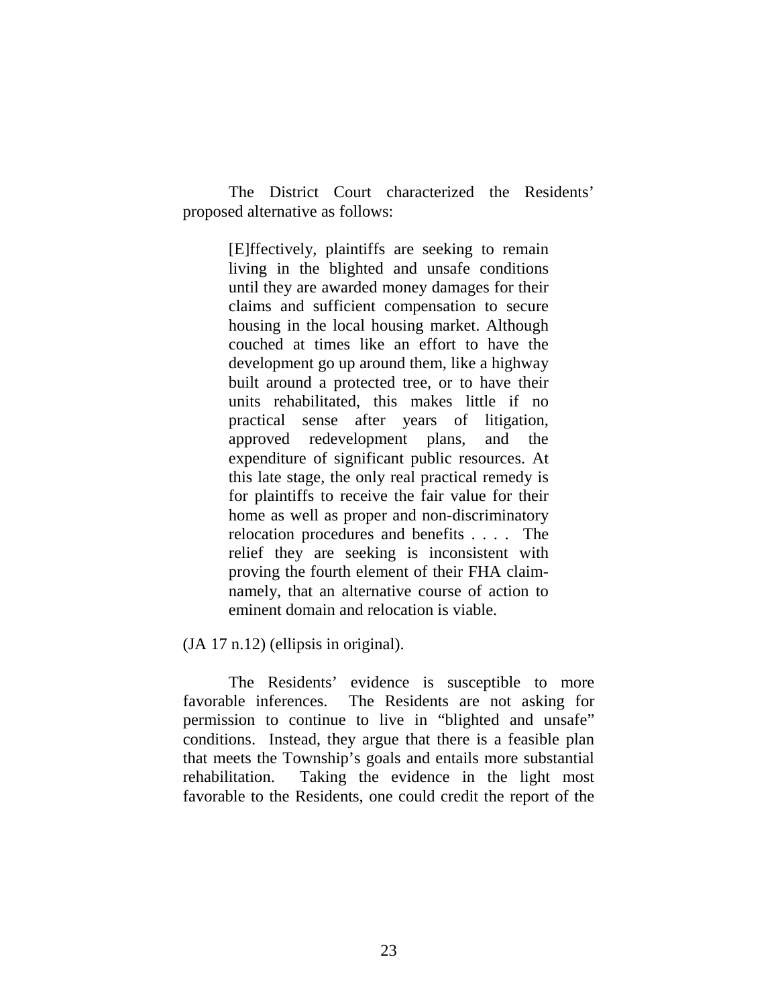The District Court characterized the Residents' proposed alternative as follows:

> [E]ffectively, plaintiffs are seeking to remain living in the blighted and unsafe conditions until they are awarded money damages for their claims and sufficient compensation to secure housing in the local housing market. Although couched at times like an effort to have the development go up around them, like a highway built around a protected tree, or to have their units rehabilitated, this makes little if no practical sense after years of litigation, approved redevelopment plans, and the expenditure of significant public resources. At this late stage, the only real practical remedy is for plaintiffs to receive the fair value for their home as well as proper and non-discriminatory relocation procedures and benefits . . . . The relief they are seeking is inconsistent with proving the fourth element of their FHA claimnamely, that an alternative course of action to eminent domain and relocation is viable.

(JA 17 n.12) (ellipsis in original).

The Residents' evidence is susceptible to more favorable inferences. The Residents are not asking for permission to continue to live in "blighted and unsafe" conditions. Instead, they argue that there is a feasible plan that meets the Township's goals and entails more substantial rehabilitation. Taking the evidence in the light most favorable to the Residents, one could credit the report of the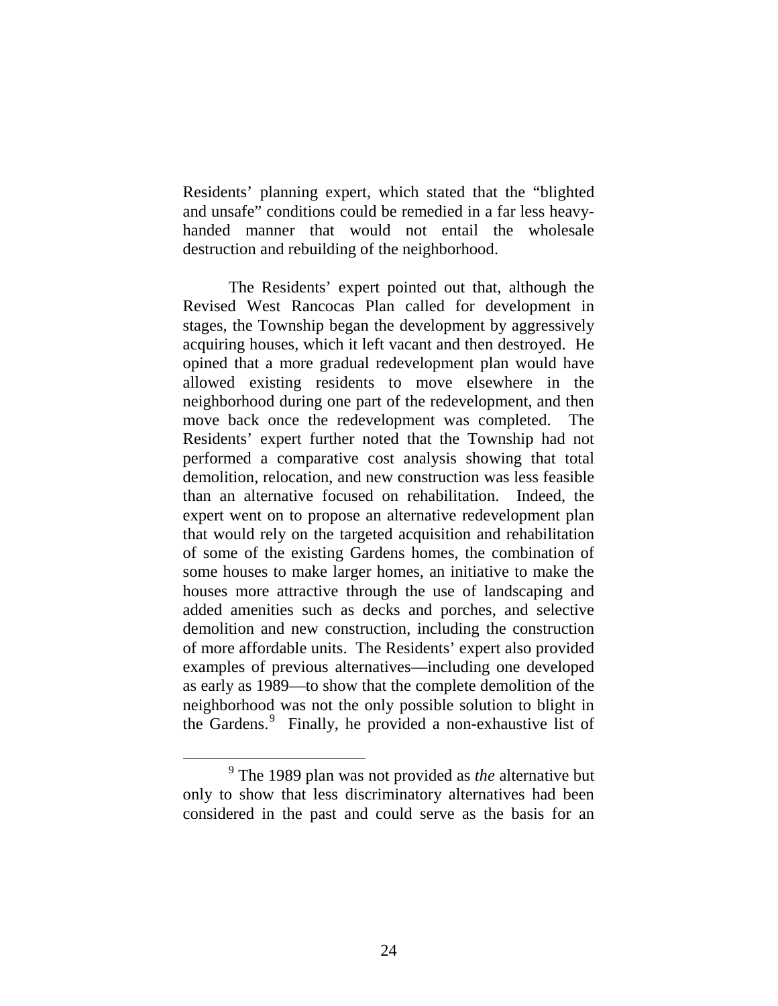Residents' planning expert, which stated that the "blighted and unsafe" conditions could be remedied in a far less heavyhanded manner that would not entail the wholesale destruction and rebuilding of the neighborhood.

The Residents' expert pointed out that, although the Revised West Rancocas Plan called for development in stages, the Township began the development by aggressively acquiring houses, which it left vacant and then destroyed. He opined that a more gradual redevelopment plan would have allowed existing residents to move elsewhere in the neighborhood during one part of the redevelopment, and then move back once the redevelopment was completed. The Residents' expert further noted that the Township had not performed a comparative cost analysis showing that total demolition, relocation, and new construction was less feasible than an alternative focused on rehabilitation. Indeed, the expert went on to propose an alternative redevelopment plan that would rely on the targeted acquisition and rehabilitation of some of the existing Gardens homes, the combination of some houses to make larger homes, an initiative to make the houses more attractive through the use of landscaping and added amenities such as decks and porches, and selective demolition and new construction, including the construction of more affordable units. The Residents' expert also provided examples of previous alternatives—including one developed as early as 1989—to show that the complete demolition of the neighborhood was not the only possible solution to blight in the Gardens.<sup>[9](#page-23-0)</sup> Finally, he provided a non-exhaustive list of

<span id="page-23-0"></span> <sup>9</sup> The 1989 plan was not provided as *the* alternative but only to show that less discriminatory alternatives had been considered in the past and could serve as the basis for an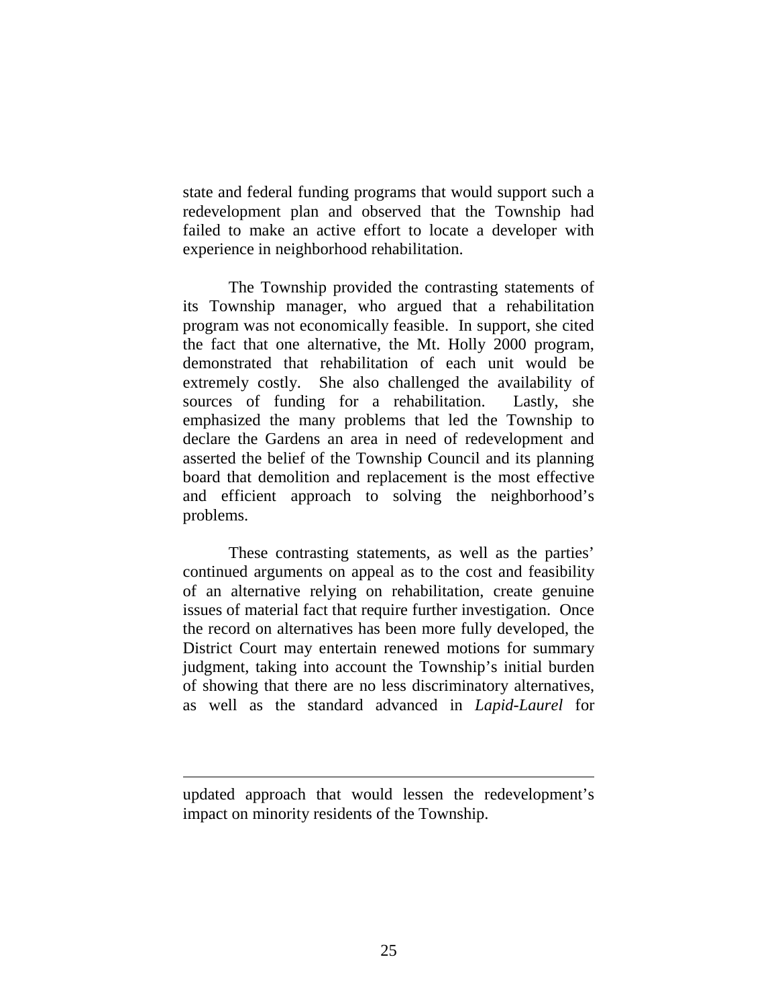state and federal funding programs that would support such a redevelopment plan and observed that the Township had failed to make an active effort to locate a developer with experience in neighborhood rehabilitation.

The Township provided the contrasting statements of its Township manager, who argued that a rehabilitation program was not economically feasible. In support, she cited the fact that one alternative, the Mt. Holly 2000 program, demonstrated that rehabilitation of each unit would be extremely costly. She also challenged the availability of sources of funding for a rehabilitation. Lastly, she emphasized the many problems that led the Township to declare the Gardens an area in need of redevelopment and asserted the belief of the Township Council and its planning board that demolition and replacement is the most effective and efficient approach to solving the neighborhood's problems.

These contrasting statements, as well as the parties' continued arguments on appeal as to the cost and feasibility of an alternative relying on rehabilitation, create genuine issues of material fact that require further investigation. Once the record on alternatives has been more fully developed, the District Court may entertain renewed motions for summary judgment, taking into account the Township's initial burden of showing that there are no less discriminatory alternatives, as well as the standard advanced in *Lapid-Laurel* for

 $\overline{a}$ 

updated approach that would lessen the redevelopment's impact on minority residents of the Township.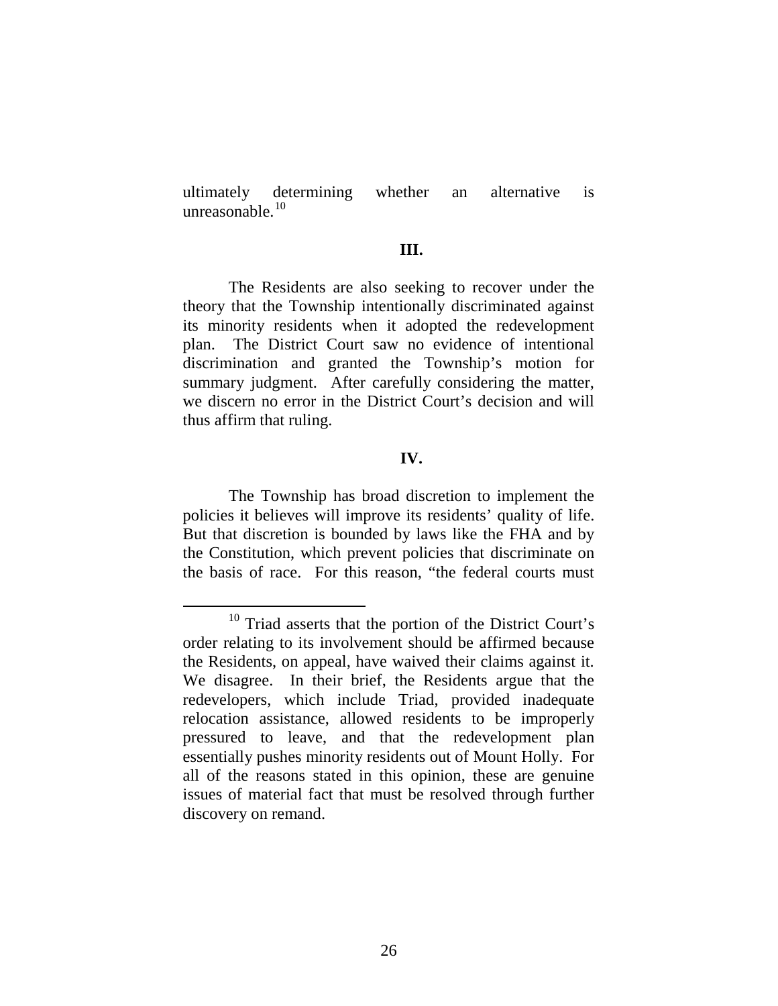ultimately determining whether an alternative is unreasonable.<sup>[10](#page-25-0)</sup>

### **III.**

The Residents are also seeking to recover under the theory that the Township intentionally discriminated against its minority residents when it adopted the redevelopment plan. The District Court saw no evidence of intentional discrimination and granted the Township's motion for summary judgment. After carefully considering the matter, we discern no error in the District Court's decision and will thus affirm that ruling.

## **IV.**

The Township has broad discretion to implement the policies it believes will improve its residents' quality of life. But that discretion is bounded by laws like the FHA and by the Constitution, which prevent policies that discriminate on the basis of race. For this reason, "the federal courts must

<span id="page-25-0"></span> <sup>10</sup> Triad asserts that the portion of the District Court's order relating to its involvement should be affirmed because the Residents, on appeal, have waived their claims against it. We disagree. In their brief, the Residents argue that the redevelopers, which include Triad, provided inadequate relocation assistance, allowed residents to be improperly pressured to leave, and that the redevelopment plan essentially pushes minority residents out of Mount Holly. For all of the reasons stated in this opinion, these are genuine issues of material fact that must be resolved through further discovery on remand.